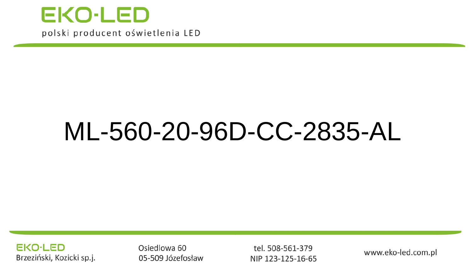

# ML-560-20-96D-CC-2835-AL

**EKO-LED** Brzeziński, Kozicki sp.j.

Osiedlowa 60 05-509 Józefosław

tel. 508-561-379 NIP 123-125-16-65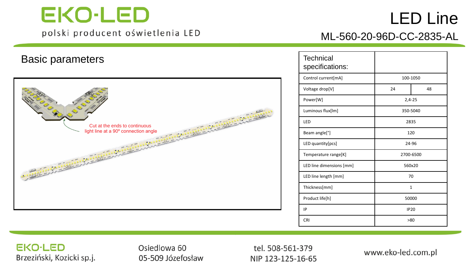## LED Line



| <b>Technical</b><br>specifications: |              |  |
|-------------------------------------|--------------|--|
| Control current[mA]                 | 100-1050     |  |
| Voltage drop[V]                     | 48<br>24     |  |
| Power[W]                            | $2,4-25$     |  |
| Luminous flux[lm]                   | 350-5040     |  |
| LED                                 | 2835         |  |
| Beam angle <sup>[°]</sup>           | 120          |  |
| LED quantity[pcs]                   | 24-96        |  |
| Temperature range[K]                | 2700-6500    |  |
| LED line dimensions [mm]            | 560x20       |  |
| LED line length [mm]                | 70           |  |
| Thickness[mm]                       | $\mathbf{1}$ |  |
| Product life[h]                     | 50000        |  |
| IP                                  | <b>IP20</b>  |  |
| CRI                                 | >80          |  |

ML-560-20-96D-CC-2835-AL

#### **EKO-LED** Brzeziński, Kozicki sp.j.

Osiedlowa 60 05-509 Józefosław

tel. 508-561-379 NIP 123-125-16-65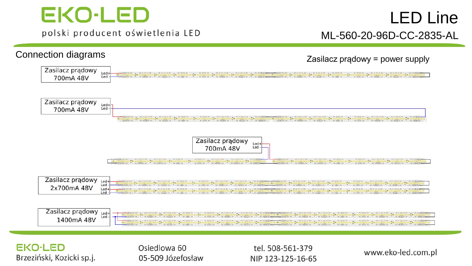### LED Line ML -560 -20 -96D -CC -2835 -AL

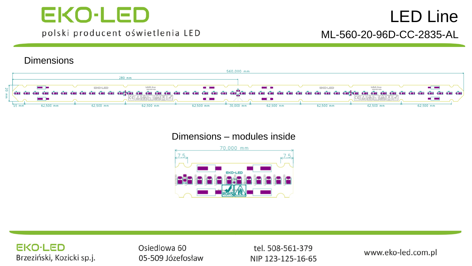### LED Line ML-560-20-96D-CC-2835-AL

#### **Dimensions**



#### Dimensions – modules inside



#### **EKO-LED** Brzeziński, Kozicki sp.j.

Osiedlowa 60 05-509 Józefosław

tel. 508-561-379 NIP 123-125-16-65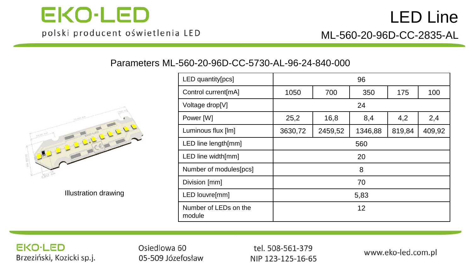

Parameters ML-560-20-96D-CC-5730-AL-96-24-840-000



Illustration drawing

| LED quantity[pcs]               | 96      |         |         |        |        |
|---------------------------------|---------|---------|---------|--------|--------|
| Control current[mA]             | 1050    | 700     | 350     | 175    | 100    |
| Voltage drop[V]                 | 24      |         |         |        |        |
| Power [W]                       | 25,2    | 16,8    | 8,4     | 4,2    | 2,4    |
| Luminous flux [lm]              | 3630,72 | 2459,52 | 1346,88 | 819,84 | 409,92 |
| LED line length[mm]             | 560     |         |         |        |        |
| LED line width[mm]              | 20      |         |         |        |        |
| Number of modules[pcs]          | 8       |         |         |        |        |
| Division [mm]                   | 70      |         |         |        |        |
| LED louvre[mm]                  | 5,83    |         |         |        |        |
| Number of LEDs on the<br>module | 12      |         |         |        |        |

#### **EKO-LED** Brzeziński, Kozicki sp.j.

Osiedlowa 60 05-509 Józefosław

tel. 508-561-379 NIP 123-125-16-65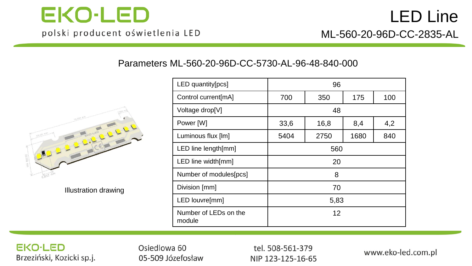

#### Parameters ML-560-20-96D-CC-5730-AL-96-48-840-000



Illustration drawing

| LED quantity[pcs]               | 96                       |      |      |     |
|---------------------------------|--------------------------|------|------|-----|
| Control current[mA]             | 700<br>350<br>175<br>100 |      |      |     |
| Voltage drop[V]                 | 48                       |      |      |     |
| Power [W]                       | 33,6                     | 16,8 | 8,4  | 4,2 |
| Luminous flux [lm]              | 5404                     | 2750 | 1680 | 840 |
| LED line length[mm]             | 560                      |      |      |     |
| LED line width[mm]              | 20                       |      |      |     |
| Number of modules[pcs]          | 8                        |      |      |     |
| Division [mm]                   | 70                       |      |      |     |
| LED louvre[mm]                  | 5,83                     |      |      |     |
| Number of LEDs on the<br>module | 12                       |      |      |     |

#### **EKO-LED** Brzeziński, Kozicki sp.j.

Osiedlowa 60 05-509 Józefosław

tel. 508-561-379 NIP 123-125-16-65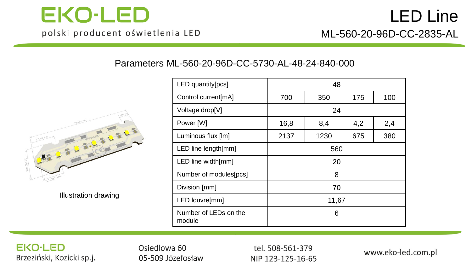

#### Parameters ML-560-20-96D-CC-5730-AL-48-24-840-000



Illustration drawing

| LED quantity[pcs]               | 48    |      |     |     |
|---------------------------------|-------|------|-----|-----|
| Control current[mA]             | 700   | 350  | 175 | 100 |
| Voltage drop[V]                 | 24    |      |     |     |
| Power [W]                       | 16,8  | 8,4  | 4,2 | 2,4 |
| Luminous flux [lm]              | 2137  | 1230 | 675 | 380 |
| LED line length[mm]             | 560   |      |     |     |
| LED line width[mm]              | 20    |      |     |     |
| Number of modules[pcs]          | 8     |      |     |     |
| Division [mm]                   | 70    |      |     |     |
| LED louvre[mm]                  | 11,67 |      |     |     |
| Number of LEDs on the<br>module | 6     |      |     |     |

#### **EKO-LED** Brzeziński, Kozicki sp.j.

Osiedlowa 60 05-509 Józefosław

tel. 508-561-379 NIP 123-125-16-65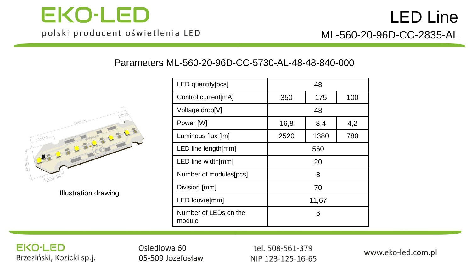

#### Parameters ML-560-20-96D-CC-5730-AL-48-48-840-000



Illustration drawing

| LED quantity[pcs]               |                    | 48   |     |
|---------------------------------|--------------------|------|-----|
| Control current[mA]             | 100<br>175<br>350  |      |     |
| Voltage drop[V]                 | 48                 |      |     |
| Power [W]                       | 4,2<br>8,4<br>16,8 |      |     |
| Luminous flux [lm]              | 2520               | 1380 | 780 |
| LED line length[mm]             | 560                |      |     |
| LED line width[mm]              | 20                 |      |     |
| Number of modules[pcs]          | 8                  |      |     |
| Division [mm]                   | 70                 |      |     |
| LED louvre[mm]                  | 11,67              |      |     |
| Number of LEDs on the<br>module | 6                  |      |     |

#### **EKO-LED** Brzeziński, Kozicki sp.j.

Osiedlowa 60 05-509 Józefosław

tel. 508-561-379 NIP 123-125-16-65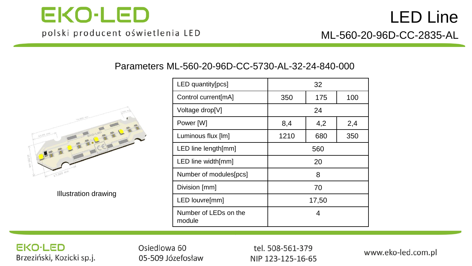

#### Parameters ML-560-20-96D-CC-5730-AL-32-24-840-000



Illustration drawing

| LED quantity[pcs]               |       | 32  |     |
|---------------------------------|-------|-----|-----|
| Control current[mA]             | 350   | 175 | 100 |
| Voltage drop[V]                 |       | 24  |     |
| Power [W]                       | 8,4   | 4,2 | 2,4 |
| Luminous flux [lm]              | 1210  | 680 | 350 |
| LED line length[mm]             | 560   |     |     |
| LED line width[mm]              | 20    |     |     |
| Number of modules[pcs]          | 8     |     |     |
| Division [mm]                   | 70    |     |     |
| LED louvre[mm]                  | 17,50 |     |     |
| Number of LEDs on the<br>module |       | 4   |     |

#### **EKO-LED** Brzeziński, Kozicki sp.j.

Osiedlowa 60 05-509 Józefosław

tel. 508-561-379 NIP 123-125-16-65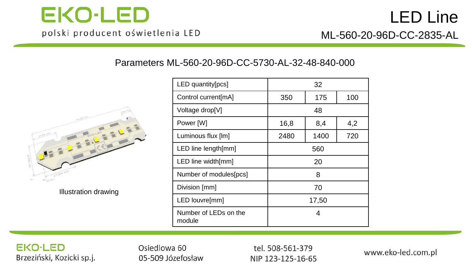

#### Parameters ML-560-20-96D-CC-5730-AL-32-48-840-000



Illustration drawing

| LED quantity[pcs]               |                   | 32   |     |
|---------------------------------|-------------------|------|-----|
| Control current[mA]             | 175<br>100<br>350 |      |     |
| Voltage drop[V]                 | 48                |      |     |
| Power [W]                       | 16,8              | 8,4  | 4,2 |
| Luminous flux [lm]              | 2480              | 1400 | 720 |
| LED line length[mm]             | 560               |      |     |
| LED line width[mm]              | 20                |      |     |
| Number of modules[pcs]          | 8                 |      |     |
| Division [mm]                   | 70                |      |     |
| LED louvre[mm]                  | 17,50             |      |     |
| Number of LEDs on the<br>module | 4                 |      |     |

#### **EKO-LED** Brzeziński, Kozicki sp.j.

Osiedlowa 60 05-509 Józefosław

tel. 508-561-379 NIP 123-125-16-65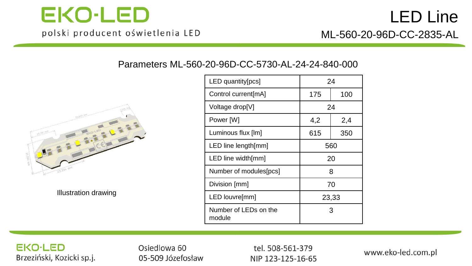

#### Parameters ML-560-20-96D-CC-5730-AL-24-24-840-000



Illustration drawing

| LED quantity[pcs]               | 24         |     |  |
|---------------------------------|------------|-----|--|
| Control current[mA]             | 175<br>100 |     |  |
| Voltage drop[V]                 | 24         |     |  |
| Power [W]                       | 4,2<br>2,4 |     |  |
| Luminous flux [lm]              | 615        | 350 |  |
| LED line length[mm]             | 560        |     |  |
| LED line width[mm]              | 20         |     |  |
| Number of modules[pcs]          | 8          |     |  |
| Division [mm]                   | 70         |     |  |
| LED louvre[mm]                  | 23,33      |     |  |
| Number of LEDs on the<br>module | З          |     |  |

#### **EKO-LED** Brzeziński, Kozicki sp.j.

Osiedlowa 60 05-509 Józefosław

tel. 508-561-379 NIP 123-125-16-65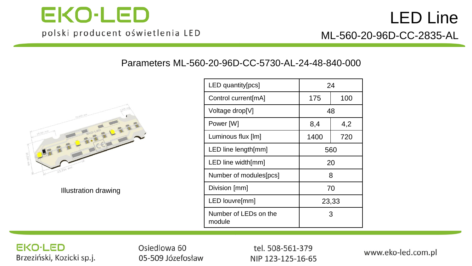

### LED Line ML-560-20-96D-CC-2835-AL

Parameters ML-560-20-96D-CC-5730-AL-24-48-840-000



Illustration drawing

| LED quantity[pcs]               | 24         |     |  |
|---------------------------------|------------|-----|--|
| Control current[mA]             | 100<br>175 |     |  |
| Voltage drop[V]                 | 48         |     |  |
| Power [W]                       | 8,4        | 4,2 |  |
| Luminous flux [lm]              | 1400       | 720 |  |
| LED line length[mm]             | 560        |     |  |
| LED line width[mm]              | 20         |     |  |
| Number of modules[pcs]          | 8          |     |  |
| Division [mm]                   | 70         |     |  |
| LED louvre[mm]                  | 23,33      |     |  |
| Number of LEDs on the<br>module | 3          |     |  |

#### **EKO-LED** Brzeziński, Kozicki sp.j.

Osiedlowa 60 05-509 Józefosław

tel. 508-561-379 NIP 123-125-16-65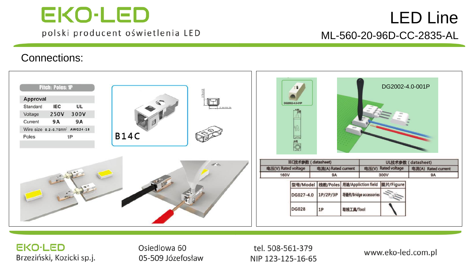### LED Line ML-560-20-96D-CC-2835-AL

#### Connections:



#### **EKO-LED** Brzeziński, Kozicki sp.j.

Osiedlowa 60 05-509 Józefosław

tel. 508-561-379 NIP 123-125-16-65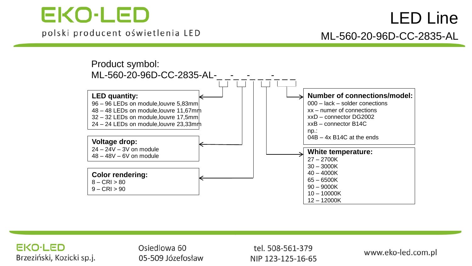

### LED Line ML-560-20-96D-CC-2835-AL





Osiedlowa 60 05-509 Józefosław

tel. 508-561-379 NIP 123-125-16-65